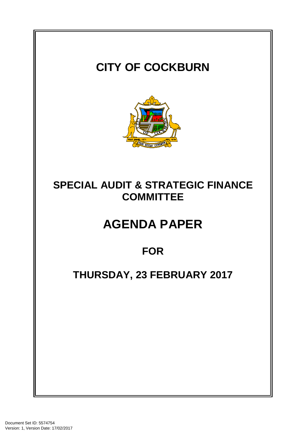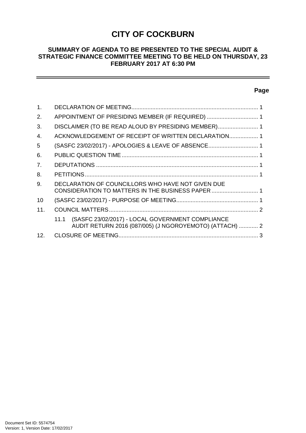# **CITY OF COCKBURN**

## **SUMMARY OF AGENDA TO BE PRESENTED TO THE SPECIAL AUDIT & STRATEGIC FINANCE COMMITTEE MEETING TO BE HELD ON THURSDAY, 23 FEBRUARY 2017 AT 6:30 PM**

#### **Page**

-

| 1.              |                                                                                                                     |
|-----------------|---------------------------------------------------------------------------------------------------------------------|
| 2.              | APPOINTMENT OF PRESIDING MEMBER (IF REQUIRED)  1                                                                    |
| 3.              | DISCLAIMER (TO BE READ ALOUD BY PRESIDING MEMBER) 1                                                                 |
| 4.              | ACKNOWLEDGEMENT OF RECEIPT OF WRITTEN DECLARATION 1                                                                 |
| 5               | (SASFC 23/02/2017) - APOLOGIES & LEAVE OF ABSENCE 1                                                                 |
| 6.              |                                                                                                                     |
| 7.              |                                                                                                                     |
| 8.              |                                                                                                                     |
| 9.              | DECLARATION OF COUNCILLORS WHO HAVE NOT GIVEN DUE<br>CONSIDERATION TO MATTERS IN THE BUSINESS PAPER  1              |
| 10              |                                                                                                                     |
| 11 <sub>1</sub> |                                                                                                                     |
|                 | (SASFC 23/02/2017) - LOCAL GOVERNMENT COMPLIANCE<br>11.1<br>AUDIT RETURN 2016 (087/005) (J NGOROYEMOTO) (ATTACH)  2 |
| 12.             |                                                                                                                     |
|                 |                                                                                                                     |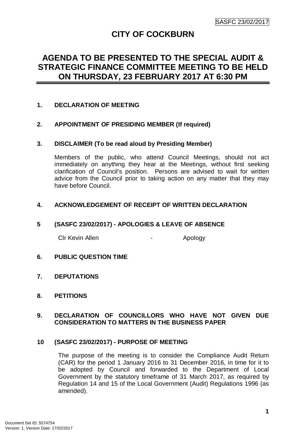# **CITY OF COCKBURN**

# **AGENDA TO BE PRESENTED TO THE SPECIAL AUDIT & STRATEGIC FINANCE COMMITTEE MEETING TO BE HELD ON THURSDAY, 23 FEBRUARY 2017 AT 6:30 PM**

## **1. DECLARATION OF MEETING**

## **2. APPOINTMENT OF PRESIDING MEMBER (If required)**

#### **3. DISCLAIMER (To be read aloud by Presiding Member)**

Members of the public, who attend Council Meetings, should not act immediately on anything they hear at the Meetings, without first seeking clarification of Council's position. Persons are advised to wait for written advice from the Council prior to taking action on any matter that they may have before Council.

#### **4. ACKNOWLEDGEMENT OF RECEIPT OF WRITTEN DECLARATION**

#### **5 (SASFC 23/02/2017) - APOLOGIES & LEAVE OF ABSENCE**

Clr Kevin Allen **- Apology** 

#### **6. PUBLIC QUESTION TIME**

- **7. DEPUTATIONS**
- **8. PETITIONS**

#### **9. DECLARATION OF COUNCILLORS WHO HAVE NOT GIVEN DUE CONSIDERATION TO MATTERS IN THE BUSINESS PAPER**

#### **10 (SASFC 23/02/2017) - PURPOSE OF MEETING**

The purpose of the meeting is to consider the Compliance Audit Return (CAR) for the period 1 January 2016 to 31 December 2016, in time for it to be adopted by Council and forwarded to the Department of Local Government by the statutory timeframe of 31 March 2017, as required by Regulation 14 and 15 of the Local Government (Audit) Regulations 1996 (as amended).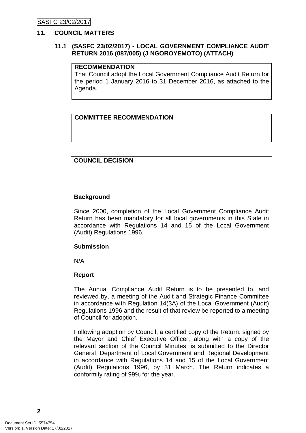### **11. COUNCIL MATTERS**

### **11.1 (SASFC 23/02/2017) - LOCAL GOVERNMENT COMPLIANCE AUDIT RETURN 2016 (087/005) (J NGOROYEMOTO) (ATTACH)**

#### **RECOMMENDATION**

That Council adopt the Local Government Compliance Audit Return for the period 1 January 2016 to 31 December 2016, as attached to the Agenda.

## **COMMITTEE RECOMMENDATION**

**COUNCIL DECISION**

## **Background**

Since 2000, completion of the Local Government Compliance Audit Return has been mandatory for all local governments in this State in accordance with Regulations 14 and 15 of the Local Government (Audit) Regulations 1996.

#### **Submission**

N/A

#### **Report**

The Annual Compliance Audit Return is to be presented to, and reviewed by, a meeting of the Audit and Strategic Finance Committee in accordance with Regulation 14(3A) of the Local Government (Audit) Regulations 1996 and the result of that review be reported to a meeting of Council for adoption.

Following adoption by Council, a certified copy of the Return, signed by the Mayor and Chief Executive Officer, along with a copy of the relevant section of the Council Minutes, is submitted to the Director General, Department of Local Government and Regional Development in accordance with Regulations 14 and 15 of the Local Government (Audit) Regulations 1996, by 31 March. The Return indicates a conformity rating of 99% for the year.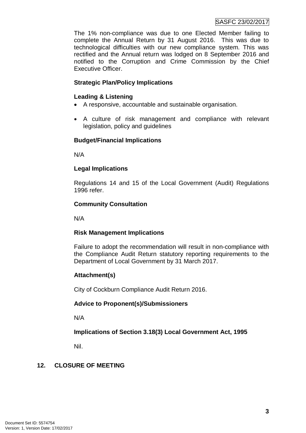#### SASFC 23/02/2017

The 1% non-compliance was due to one Elected Member failing to complete the Annual Return by 31 August 2016. This was due to technological difficulties with our new compliance system. This was rectified and the Annual return was lodged on 8 September 2016 and notified to the Corruption and Crime Commission by the Chief Executive Officer.

### **Strategic Plan/Policy Implications**

#### **Leading & Listening**

- A responsive, accountable and sustainable organisation.
- A culture of risk management and compliance with relevant legislation, policy and guidelines

#### **Budget/Financial Implications**

N/A

#### **Legal Implications**

Regulations 14 and 15 of the Local Government (Audit) Regulations 1996 refer.

#### **Community Consultation**

N/A

#### **Risk Management Implications**

Failure to adopt the recommendation will result in non-compliance with the Compliance Audit Return statutory reporting requirements to the Department of Local Government by 31 March 2017.

#### **Attachment(s)**

City of Cockburn Compliance Audit Return 2016.

#### **Advice to Proponent(s)/Submissioners**

N/A

# **Implications of Section 3.18(3) Local Government Act, 1995**

Nil.

#### **12. CLOSURE OF MEETING**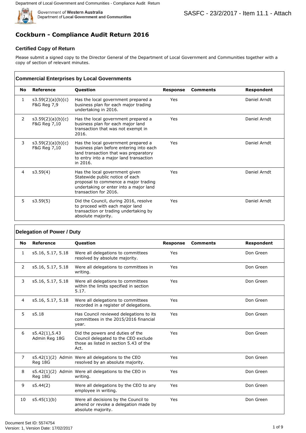

# **Cockburn - Compliance Audit Return 2016**

#### **Certified Copy of Return**

|                | <b>Commercial Enterprises by Local Governments</b> |                                                                                                                                                                               |                 |                 |              |  |
|----------------|----------------------------------------------------|-------------------------------------------------------------------------------------------------------------------------------------------------------------------------------|-----------------|-----------------|--------------|--|
| <b>No</b>      | Reference                                          | Question                                                                                                                                                                      | <b>Response</b> | <b>Comments</b> | Respondent   |  |
| 1              | s3.59(2)(a)(b)(c)<br>F&G Reg 7,9                   | Has the local government prepared a<br>business plan for each major trading<br>undertaking in 2016.                                                                           | Yes             |                 | Daniel Arndt |  |
| $\overline{2}$ | s3.59(2)(a)(b)(c)<br>F&G Reg 7,10                  | Has the local government prepared a<br>business plan for each major land<br>transaction that was not exempt in<br>2016.                                                       | Yes             |                 | Daniel Arndt |  |
| 3              | s3.59(2)(a)(b)(c)<br>F&G Reg 7,10                  | Has the local government prepared a<br>business plan before entering into each<br>land transaction that was preparatory<br>to entry into a major land transaction<br>in 2016. | Yes             |                 | Daniel Arndt |  |
| 4              | s3.59(4)                                           | Has the local government given<br>Statewide public notice of each<br>proposal to commence a major trading<br>undertaking or enter into a major land<br>transaction for 2016.  | Yes             |                 | Daniel Arndt |  |
| 5              | s3.59(5)                                           | Did the Council, during 2016, resolve<br>to proceed with each major land<br>transaction or trading undertaking by<br>absolute majority.                                       | Yes             |                 | Daniel Arndt |  |

|                | <b>Certified Copy of Return</b><br>copy of section of relevant minutes. | <b>Cockburn - Compliance Audit Return 2016</b><br>Please submit a signed copy to the Director General of the Department of Local Government and Communities together with a   |                        |                 |                         |
|----------------|-------------------------------------------------------------------------|-------------------------------------------------------------------------------------------------------------------------------------------------------------------------------|------------------------|-----------------|-------------------------|
|                |                                                                         | <b>Commercial Enterprises by Local Governments</b>                                                                                                                            |                        |                 |                         |
| <b>No</b>      | Reference                                                               | Question                                                                                                                                                                      | <b>Response</b>        | <b>Comments</b> | <b>Respondent</b>       |
| 1              | s3.59(2)(a)(b)(c)<br>F&G Reg 7,9                                        | Has the local government prepared a<br>business plan for each major trading<br>undertaking in 2016.                                                                           | Yes                    |                 | Daniel Arndt            |
| $\overline{2}$ | s3.59(2)(a)(b)(c)<br>F&G Reg 7,10                                       | Has the local government prepared a<br>business plan for each major land<br>transaction that was not exempt in<br>2016.                                                       | Yes                    |                 | Daniel Arndt            |
| 3              | s3.59(2)(a)(b)(c)<br>F&G Reg 7,10                                       | Has the local government prepared a<br>business plan before entering into each<br>land transaction that was preparatory<br>to entry into a major land transaction<br>in 2016. | Yes                    |                 | Daniel Arndt            |
| 4              | s3.59(4)                                                                | Has the local government given<br>Statewide public notice of each<br>proposal to commence a major trading<br>undertaking or enter into a major land<br>transaction for 2016.  | Yes                    |                 | Daniel Arndt            |
| 5              | s3.59(5)                                                                | Did the Council, during 2016, resolve<br>to proceed with each major land<br>transaction or trading undertaking by<br>absolute majority.                                       | Yes                    |                 | Daniel Arndt            |
|                |                                                                         |                                                                                                                                                                               |                        |                 |                         |
|                | <b>Delegation of Power / Duty</b>                                       |                                                                                                                                                                               |                        |                 |                         |
| No<br>1        | Reference<br>s5.16, 5.17, 5.18                                          | Question<br>Were all delegations to committees                                                                                                                                | <b>Response</b><br>Yes | Comments        | Respondent<br>Don Green |
| $\overline{2}$ | s5.16, 5.17, 5.18                                                       | resolved by absolute majority.<br>Were all delegations to committees in<br>writing.                                                                                           | Yes                    |                 | Don Green               |
| 3              | s5.16, 5.17, 5.18                                                       | Were all delegations to committees<br>within the limits specified in section<br>5.17.                                                                                         | Yes                    |                 | Don Green               |
| 4              | s5.16, 5.17, 5.18                                                       | Were all delegations to committees<br>recorded in a register of delegations.                                                                                                  | Yes                    |                 | Don Green               |
| 5              | s5.18                                                                   | Has Council reviewed delegations to its<br>committees in the 2015/2016 financial<br>year.                                                                                     | Yes                    |                 | Don Green               |
| 6              | s5.42(1),5.43<br>Admin Reg 18G                                          | Did the powers and duties of the<br>Council delegated to the CEO exclude<br>those as listed in section 5.43 of the<br>Act.                                                    | Yes                    |                 | Don Green               |
| 7              | Reg 18G                                                                 | $s5.42(1)(2)$ Admin Were all delegations to the CEO<br>resolved by an absolute majority.                                                                                      | Yes                    |                 | Don Green               |
| 8              | Reg 18G                                                                 | s5.42(1)(2) Admin Were all delegations to the CEO in<br>writing.                                                                                                              | Yes                    |                 | Don Green               |
| 9              | s5.44(2)                                                                | Were all delegations by the CEO to any<br>employee in writing.                                                                                                                | Yes                    |                 | Don Green               |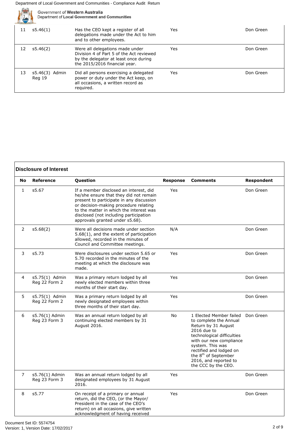| Government of Western Australia<br>Department of Local Government and Communities |                          |                                                                                                                                                       |     |           |
|-----------------------------------------------------------------------------------|--------------------------|-------------------------------------------------------------------------------------------------------------------------------------------------------|-----|-----------|
| 11                                                                                | s5.46(1)                 | Has the CEO kept a register of all<br>delegations made under the Act to him<br>and to other employees.                                                | Yes | Don Green |
| 12                                                                                | s5.46(2)                 | Were all delegations made under<br>Division 4 of Part 5 of the Act reviewed<br>by the delegator at least once during<br>the 2015/2016 financial year. | Yes | Don Green |
| 13                                                                                | s5.46(3) Admin<br>Reg 19 | Did all persons exercising a delegated<br>power or duty under the Act keep, on<br>all occasions, a written record as<br>required.                     | Yes | Don Green |

|                | <b>Disclosure of Interest</b>   |                                                                                                                                                                                                                                                                                               |                 |                                                                                                                                                                                                                                                                                     |            |  |  |
|----------------|---------------------------------|-----------------------------------------------------------------------------------------------------------------------------------------------------------------------------------------------------------------------------------------------------------------------------------------------|-----------------|-------------------------------------------------------------------------------------------------------------------------------------------------------------------------------------------------------------------------------------------------------------------------------------|------------|--|--|
| <b>No</b>      | <b>Reference</b>                | Question                                                                                                                                                                                                                                                                                      | <b>Response</b> | <b>Comments</b>                                                                                                                                                                                                                                                                     | Respondent |  |  |
| $\mathbf{1}$   | s5.67                           | If a member disclosed an interest, did<br>he/she ensure that they did not remain<br>present to participate in any discussion<br>or decision-making procedure relating<br>to the matter in which the interest was<br>disclosed (not including participation<br>approvals granted under s5.68). | Yes             |                                                                                                                                                                                                                                                                                     | Don Green  |  |  |
| $\overline{2}$ | s5.68(2)                        | Were all decisions made under section<br>5.68(1), and the extent of participation<br>allowed, recorded in the minutes of<br>Council and Committee meetings.                                                                                                                                   | N/A             |                                                                                                                                                                                                                                                                                     | Don Green  |  |  |
| 3              | s5.73                           | Were disclosures under section 5.65 or<br>5.70 recorded in the minutes of the<br>meeting at which the disclosure was<br>made.                                                                                                                                                                 | Yes             |                                                                                                                                                                                                                                                                                     | Don Green  |  |  |
| 4              | s5.75(1) Admin<br>Reg 22 Form 2 | Was a primary return lodged by all<br>newly elected members within three<br>months of their start day.                                                                                                                                                                                        | Yes             |                                                                                                                                                                                                                                                                                     | Don Green  |  |  |
| 5              | s5.75(1) Admin<br>Reg 22 Form 2 | Was a primary return lodged by all<br>newly designated employees within<br>three months of their start day.                                                                                                                                                                                   | Yes             |                                                                                                                                                                                                                                                                                     | Don Green  |  |  |
| 6              | s5.76(1) Admin<br>Reg 23 Form 3 | Was an annual return lodged by all<br>continuing elected members by 31<br>August 2016.                                                                                                                                                                                                        | No              | 1 Elected Member failed<br>to complete the Annual<br>Return by 31 August<br>2016 due to<br>technological difficulties<br>with our new compliance<br>system. This was<br>rectified and lodged on<br>the 8 <sup>th</sup> of September<br>2016, and reported to<br>the CCC by the CEO. | Don Green  |  |  |
| $\overline{7}$ | s5.76(1) Admin<br>Reg 23 Form 3 | Was an annual return lodged by all<br>designated employees by 31 August<br>2016.                                                                                                                                                                                                              | Yes             |                                                                                                                                                                                                                                                                                     | Don Green  |  |  |
| 8              | s5.77                           | On receipt of a primary or annual<br>return, did the CEO, (or the Mayor/<br>President in the case of the CEO's<br>return) on all occasions, give written<br>acknowledgment of having received                                                                                                 | Yes             |                                                                                                                                                                                                                                                                                     | Don Green  |  |  |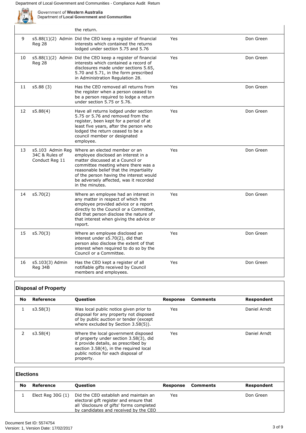

Government of Western Australia<br>Department of Local Government and Communities

|    |                                                      | the return.                                                                                                                                                                                                                                                                                        |     |           |
|----|------------------------------------------------------|----------------------------------------------------------------------------------------------------------------------------------------------------------------------------------------------------------------------------------------------------------------------------------------------------|-----|-----------|
| 9  | <b>Reg 28</b>                                        | s5.88(1)(2) Admin Did the CEO keep a register of financial<br>interests which contained the returns<br>lodged under section 5.75 and 5.76                                                                                                                                                          | Yes | Don Green |
| 10 | Reg 28                                               | s5.88(1)(2) Admin Did the CEO keep a register of financial<br>interests which contained a record of<br>disclosures made under sections 5.65,<br>5.70 and 5.71, in the form prescribed<br>in Administration Regulation 28.                                                                          | Yes | Don Green |
| 11 | s5.88(3)                                             | Has the CEO removed all returns from<br>the register when a person ceased to<br>be a person required to lodge a return<br>under section 5.75 or 5.76.                                                                                                                                              | Yes | Don Green |
| 12 | s5.88(4)                                             | Have all returns lodged under section<br>5.75 or 5.76 and removed from the<br>register, been kept for a period of at<br>least five years, after the person who<br>lodged the return ceased to be a<br>council member or designated<br>employee.                                                    | Yes | Don Green |
| 13 | s5.103 Admin Reg<br>34C & Rules of<br>Conduct Reg 11 | Where an elected member or an<br>employee disclosed an interest in a<br>matter discussed at a Council or<br>committee meeting where there was a<br>reasonable belief that the impartiality<br>of the person having the interest would<br>be adversely affected, was it recorded<br>in the minutes. | Yes | Don Green |
| 14 | s5.70(2)                                             | Where an employee had an interest in<br>any matter in respect of which the<br>employee provided advice or a report<br>directly to the Council or a Committee,<br>did that person disclose the nature of<br>that interest when giving the advice or<br>report.                                      | Yes | Don Green |
| 15 | s5.70(3)                                             | Where an employee disclosed an<br>interest under s5.70(2), did that<br>person also disclose the extent of that<br>interest when required to do so by the<br>Council or a Committee.                                                                                                                | Yes | Don Green |
| 16 | s5.103(3) Admin<br>Reg 34B                           | Has the CEO kept a register of all<br>notifiable gifts received by Council<br>members and employees.                                                                                                                                                                                               | Yes | Don Green |

## **Disposal of Property**

| <b>No</b> | Reference | <b>Question</b>                                                                                                                                                                                                    | Response | <b>Comments</b> | Respondent   |
|-----------|-----------|--------------------------------------------------------------------------------------------------------------------------------------------------------------------------------------------------------------------|----------|-----------------|--------------|
|           | s3.58(3)  | Was local public notice given prior to<br>disposal for any property not disposed<br>of by public auction or tender (except<br>where excluded by Section 3.58(5)).                                                  | Yes      |                 | Daniel Arndt |
|           | s3.58(4)  | Where the local government disposed<br>of property under section 3.58(3), did<br>it provide details, as prescribed by<br>section 3.58(4), in the required local<br>public notice for each disposal of<br>property. | Yes      |                 | Daniel Arndt |

### **Elections**

| No | Reference          | <b>Ouestion</b>                                                                                                                                                        | Response | Comments | Respondent |
|----|--------------------|------------------------------------------------------------------------------------------------------------------------------------------------------------------------|----------|----------|------------|
|    | Elect Reg $30G(1)$ | Did the CEO establish and maintain an<br>electoral gift register and ensure that<br>all 'disclosure of gifts' forms completed<br>by candidates and received by the CEO | Yes      |          | Don Green  |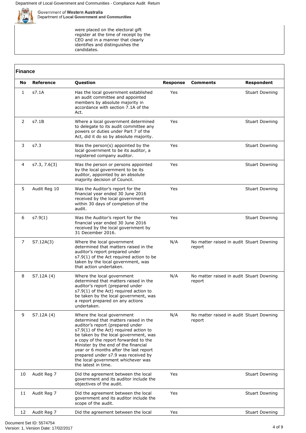

Government of Western Australia<br>Department of Local Government and Communities

were placed on the electoral gift register at the time of receipt by the CEO and in a manner that clearly identifies and distinguishes the candidates.

|                | <b>Finance</b>   |                                                                                                                                                                                                                                                                                                                                                                                                                           |                 |                                                    |                       |  |  |
|----------------|------------------|---------------------------------------------------------------------------------------------------------------------------------------------------------------------------------------------------------------------------------------------------------------------------------------------------------------------------------------------------------------------------------------------------------------------------|-----------------|----------------------------------------------------|-----------------------|--|--|
| No             | <b>Reference</b> | Question                                                                                                                                                                                                                                                                                                                                                                                                                  | <b>Response</b> | <b>Comments</b>                                    | <b>Respondent</b>     |  |  |
| 1              | s7.1A            | Has the local government established<br>an audit committee and appointed<br>members by absolute majority in<br>accordance with section 7.1A of the<br>Act.                                                                                                                                                                                                                                                                | Yes             |                                                    | <b>Stuart Downing</b> |  |  |
| $\overline{2}$ | s7.1B            | Where a local government determined<br>to delegate to its audit committee any<br>powers or duties under Part 7 of the<br>Act, did it do so by absolute majority.                                                                                                                                                                                                                                                          | Yes             |                                                    | <b>Stuart Downing</b> |  |  |
| 3              | s7.3             | Was the person(s) appointed by the<br>local government to be its auditor, a<br>registered company auditor.                                                                                                                                                                                                                                                                                                                | Yes             |                                                    | <b>Stuart Downing</b> |  |  |
| 4              | s7.3, 7.6(3)     | Was the person or persons appointed<br>by the local government to be its<br>auditor, appointed by an absolute<br>majority decision of Council.                                                                                                                                                                                                                                                                            | Yes             |                                                    | <b>Stuart Downing</b> |  |  |
| 5              | Audit Reg 10     | Was the Auditor's report for the<br>financial year ended 30 June 2016<br>received by the local government<br>within 30 days of completion of the<br>audit.                                                                                                                                                                                                                                                                | Yes             |                                                    | <b>Stuart Downing</b> |  |  |
| 6              | s7.9(1)          | Was the Auditor's report for the<br>financial year ended 30 June 2016<br>received by the local government by<br>31 December 2016.                                                                                                                                                                                                                                                                                         | Yes             |                                                    | <b>Stuart Downing</b> |  |  |
| $\overline{7}$ | S7.12A(3)        | Where the local government<br>determined that matters raised in the<br>auditor's report prepared under<br>s7.9(1) of the Act required action to be<br>taken by the local government, was<br>that action undertaken.                                                                                                                                                                                                       | N/A             | No matter raised in audit Stuart Downing<br>report |                       |  |  |
| 8              | S7.12A (4)       | Where the local government<br>determined that matters raised in the<br>auditor's report (prepared under<br>s7.9(1) of the Act) required action to<br>be taken by the local government, was<br>a report prepared on any actions<br>undertaken.                                                                                                                                                                             | N/A             | No matter raised in audit Stuart Downing<br>report |                       |  |  |
| 9              | S7.12A (4)       | Where the local government<br>determined that matters raised in the<br>auditor's report (prepared under<br>s7.9(1) of the Act) required action to<br>be taken by the local government, was<br>a copy of the report forwarded to the<br>Minister by the end of the financial<br>year or 6 months after the last report<br>prepared under s7.9 was received by<br>the local government whichever was<br>the latest in time. | N/A             | No matter raised in audit Stuart Downing<br>report |                       |  |  |
| 10             | Audit Reg 7      | Did the agreement between the local<br>government and its auditor include the<br>objectives of the audit.                                                                                                                                                                                                                                                                                                                 | Yes             |                                                    | <b>Stuart Downing</b> |  |  |
| 11             | Audit Reg 7      | Did the agreement between the local<br>government and its auditor include the<br>scope of the audit.                                                                                                                                                                                                                                                                                                                      | Yes             |                                                    | <b>Stuart Downing</b> |  |  |
| 12             | Audit Reg 7      | Did the agreement between the local                                                                                                                                                                                                                                                                                                                                                                                       | Yes             |                                                    | <b>Stuart Downing</b> |  |  |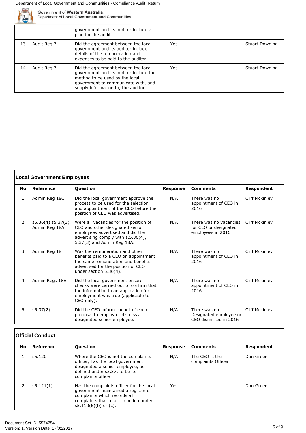|    |             | Government of Western Australia<br>Department of Local Government and Communities                                                                                                             |     |                       |
|----|-------------|-----------------------------------------------------------------------------------------------------------------------------------------------------------------------------------------------|-----|-----------------------|
|    |             | government and its auditor include a<br>plan for the audit.                                                                                                                                   |     |                       |
| 13 | Audit Reg 7 | Did the agreement between the local<br>government and its auditor include<br>details of the remuneration and<br>expenses to be paid to the auditor.                                           | Yes | <b>Stuart Downing</b> |
| 14 | Audit Reg 7 | Did the agreement between the local<br>government and its auditor include the<br>method to be used by the local<br>government to communicate with, and<br>supply information to, the auditor. | Yes | <b>Stuart Downing</b> |

| <b>Local Government Employees</b> |                                        |                                                                                                                                                                                   |                 |                                                                      |                       |  |
|-----------------------------------|----------------------------------------|-----------------------------------------------------------------------------------------------------------------------------------------------------------------------------------|-----------------|----------------------------------------------------------------------|-----------------------|--|
| No                                | Reference                              | Question                                                                                                                                                                          | <b>Response</b> | <b>Comments</b>                                                      | Respondent            |  |
| 1                                 | Admin Reg 18C                          | Did the local government approve the<br>process to be used for the selection<br>and appointment of the CEO before the<br>position of CEO was advertised.                          | N/A             | There was no<br>appointment of CEO in<br>2016                        | <b>Cliff Mckinley</b> |  |
| 2                                 | $s5.36(4) s5.37(3)$ ,<br>Admin Reg 18A | Were all vacancies for the position of<br>CEO and other designated senior<br>employees advertised and did the<br>advertising comply with s.5.36(4),<br>5.37(3) and Admin Reg 18A. | N/A             | There was no vacancies<br>for CEO or designated<br>employees in 2016 | <b>Cliff Mckinley</b> |  |
| 3                                 | Admin Reg 18F                          | Was the remuneration and other<br>benefits paid to a CEO on appointment<br>the same remuneration and benefits<br>advertised for the position of CEO<br>under section $5.36(4)$ .  | N/A             | There was no<br>appointment of CEO in<br>2016                        | <b>Cliff Mckinley</b> |  |
| 4                                 | Admin Regs 18E                         | Did the local government ensure<br>checks were carried out to confirm that<br>the information in an application for<br>employment was true (applicable to<br>CEO only).           | N/A             | There was no<br>appointment of CEO in<br>2016                        | <b>Cliff Mckinley</b> |  |
| 5                                 | s5.37(2)                               | Did the CEO inform council of each<br>proposal to employ or dismiss a<br>designated senior employee.                                                                              | N/A             | There was no<br>Designated employee or<br>CEO dismissed in 2016      | <b>Cliff Mckinley</b> |  |

# **Official Conduct**

| <b>No</b> | Reference | <b>Question</b>                                                                                                                                                                     | Response | Comments                             | Respondent |
|-----------|-----------|-------------------------------------------------------------------------------------------------------------------------------------------------------------------------------------|----------|--------------------------------------|------------|
|           | s5.120    | Where the CEO is not the complaints<br>officer, has the local government<br>designated a senior employee, as<br>defined under s5.37, to be its<br>complaints officer.               | N/A      | The CEO is the<br>complaints Officer | Don Green  |
|           | s5.121(1) | Has the complaints officer for the local<br>government maintained a register of<br>complaints which records all<br>complaints that result in action under<br>$s5.110(6)(b)$ or (c). | Yes      |                                      | Don Green  |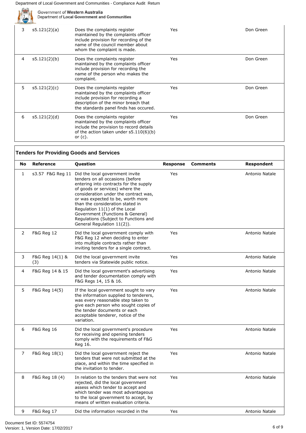|   |              | Government of Western Australia<br>Department of Local Government and Communities                                                                                                           |     |           |  |  |
|---|--------------|---------------------------------------------------------------------------------------------------------------------------------------------------------------------------------------------|-----|-----------|--|--|
| 3 | s5.121(2)(a) | Does the complaints register<br>maintained by the complaints officer<br>include provision for recording of the<br>name of the council member about<br>whom the complaint is made.           | Yes | Don Green |  |  |
| 4 | s5.121(2)(b) | Does the complaints register<br>maintained by the complaints officer<br>include provision for recording the<br>name of the person who makes the<br>complaint.                               | Yes | Don Green |  |  |
| 5 | s5.121(2)(c) | Does the complaints register<br>maintained by the complaints officer<br>include provision for recording a<br>description of the minor breach that<br>the standards panel finds has occured. | Yes | Don Green |  |  |
| 6 | s5.121(2)(d) | Does the complaints register<br>maintained by the complaints officer<br>include the provision to record details<br>of the action taken under $s5.110(6)(b)$<br>or $(c)$ .                   | Yes | Don Green |  |  |

| No             | <b>Reference</b>       | Question                                                                                                                                                                                                                                                                                                                                                                                                                        | <b>Response</b> | <b>Comments</b> | Respondent     |
|----------------|------------------------|---------------------------------------------------------------------------------------------------------------------------------------------------------------------------------------------------------------------------------------------------------------------------------------------------------------------------------------------------------------------------------------------------------------------------------|-----------------|-----------------|----------------|
| $\mathbf{1}$   |                        | s3.57 F&G Reg 11 Did the local government invite<br>tenders on all occasions (before<br>entering into contracts for the supply<br>of goods or services) where the<br>consideration under the contract was,<br>or was expected to be, worth more<br>than the consideration stated in<br>Regulation 11(1) of the Local<br>Government (Functions & General)<br>Regulations (Subject to Functions and<br>General Regulation 11(2)). | Yes             |                 | Antonio Natale |
| $\overline{2}$ | <b>F&amp;G Reg 12</b>  | Did the local government comply with<br>F&G Reg 12 when deciding to enter<br>into multiple contracts rather than<br>inviting tenders for a single contract.                                                                                                                                                                                                                                                                     | Yes             |                 | Antonio Natale |
| 3              | F&G Reg 14(1) &<br>(3) | Did the local government invite<br>tenders via Statewide public notice.                                                                                                                                                                                                                                                                                                                                                         | Yes             |                 | Antonio Natale |
| 4              | F&G Reg 14 & 15        | Did the local government's advertising<br>and tender documentation comply with<br>F&G Regs 14, 15 & 16.                                                                                                                                                                                                                                                                                                                         | Yes             |                 | Antonio Natale |
| 5              | F&G Reg 14(5)          | If the local government sought to vary<br>the information supplied to tenderers,<br>was every reasonable step taken to<br>give each person who sought copies of<br>the tender documents or each<br>acceptable tenderer, notice of the<br>variation.                                                                                                                                                                             | Yes             |                 | Antonio Natale |
| 6              | <b>F&amp;G Reg 16</b>  | Did the local government's procedure<br>for receiving and opening tenders<br>comply with the requirements of F&G<br>Reg 16.                                                                                                                                                                                                                                                                                                     | Yes             |                 | Antonio Natale |
| $\overline{7}$ | F&G Reg 18(1)          | Did the local government reject the<br>tenders that were not submitted at the<br>place, and within the time specified in<br>the invitation to tender.                                                                                                                                                                                                                                                                           | Yes             |                 | Antonio Natale |
| 8              | F&G Reg 18 (4)         | In relation to the tenders that were not<br>rejected, did the local government<br>assess which tender to accept and<br>which tender was most advantageous<br>to the local government to accept, by<br>means of written evaluation criteria.                                                                                                                                                                                     | Yes             |                 | Antonio Natale |
| 9              | <b>F&amp;G Reg 17</b>  | Did the information recorded in the                                                                                                                                                                                                                                                                                                                                                                                             | Yes             |                 | Antonio Natale |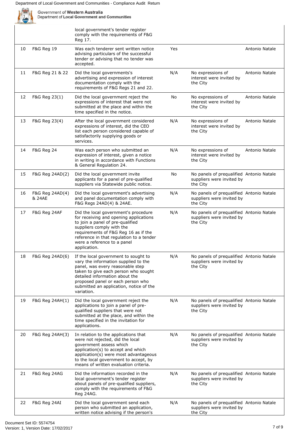|    |                           | local government's tender register<br>comply with the requirements of F&G                                                                                                                                                                                                                |     |                                                                                   |                |
|----|---------------------------|------------------------------------------------------------------------------------------------------------------------------------------------------------------------------------------------------------------------------------------------------------------------------------------|-----|-----------------------------------------------------------------------------------|----------------|
|    |                           | Reg 17.                                                                                                                                                                                                                                                                                  |     |                                                                                   |                |
| 10 | F&G Reg 19                | Was each tenderer sent written notice<br>advising particulars of the successful<br>tender or advising that no tender was<br>accepted.                                                                                                                                                    | Yes |                                                                                   | Antonio Natale |
| 11 | F&G Reg 21 & 22           | Did the local governments's<br>advertising and expression of interest<br>documentation comply with the<br>requirements of F&G Regs 21 and 22.                                                                                                                                            | N/A | No expressions of<br>interest were invited by<br>the City                         | Antonio Natale |
| 12 | F&G Reg 23(1)             | Did the local government reject the<br>expressions of interest that were not<br>submitted at the place and within the<br>time specified in the notice.                                                                                                                                   | No  | No expressions of<br>interest were invited by<br>the City                         | Antonio Natale |
| 13 | F&G Reg 23(4)             | After the local government considered<br>expressions of interest, did the CEO<br>list each person considered capable of<br>satisfactorily supplying goods or<br>services.                                                                                                                | N/A | No expressions of<br>interest were invited by<br>the City                         | Antonio Natale |
| 14 | F&G Reg 24                | Was each person who submitted an<br>expression of interest, given a notice<br>in writing in accordance with Functions<br>& General Regulation 24.                                                                                                                                        | N/A | No expressions of<br>interest were invited by<br>the City                         | Antonio Natale |
| 15 | F&G Reg 24AD(2)           | Did the local government invite<br>applicants for a panel of pre-qualified<br>suppliers via Statewide public notice.                                                                                                                                                                     | No  | No panels of prequalified Antonio Natale<br>suppliers were invited by<br>the City |                |
| 16 | F&G Reg 24AD(4)<br>& 24AE | Did the local government's advertising<br>and panel documentation comply with<br>F&G Regs 24AD(4) & 24AE.                                                                                                                                                                                | N/A | No panels of prequalified Antonio Natale<br>suppliers were invited by<br>the City |                |
| 17 | F&G Reg 24AF              | Did the local government's procedure<br>for receiving and opening applications<br>to join a panel of pre-qualified<br>suppliers comply with the<br>requirements of F&G Reg 16 as if the<br>reference in that regulation to a tender<br>were a reference to a panel<br>application.       | N/A | No panels of prequalified Antonio Natale<br>suppliers were invited by<br>the City |                |
| 18 | F&G Reg 24AD(6)           | If the local government to sought to<br>vary the information supplied to the<br>panel, was every reasonable step<br>taken to give each person who sought<br>detailed information about the<br>proposed panel or each person who<br>submitted an application, notice of the<br>variation. | N/A | No panels of prequalified Antonio Natale<br>suppliers were invited by<br>the City |                |
| 19 | F&G Reg 24AH(1)           | Did the local government reject the<br>applications to join a panel of pre-<br>qualified suppliers that were not<br>submitted at the place, and within the<br>time specified in the invitation for<br>applications.                                                                      | N/A | No panels of prequalified Antonio Natale<br>suppliers were invited by<br>the City |                |
| 20 | F&G Reg 24AH(3)           | In relation to the applications that<br>were not rejected, did the local<br>government assess which<br>application(s) to accept and which<br>application(s) were most advantageous<br>to the local government to accept, by<br>means of written evaluation criteria.                     | N/A | No panels of prequalified Antonio Natale<br>suppliers were invited by<br>the City |                |
| 21 | F&G Reg 24AG              | Did the information recorded in the<br>local government's tender register<br>about panels of pre-qualified suppliers,<br>comply with the requirements of F&G<br>Reg 24AG.                                                                                                                | N/A | No panels of prequalified Antonio Natale<br>suppliers were invited by<br>the City |                |
| 22 | F&G Reg 24AI              | Did the local government send each<br>person who submitted an application,<br>written notice advising if the person's                                                                                                                                                                    | N/A | No panels of prequalified Antonio Natale<br>suppliers were invited by<br>the City |                |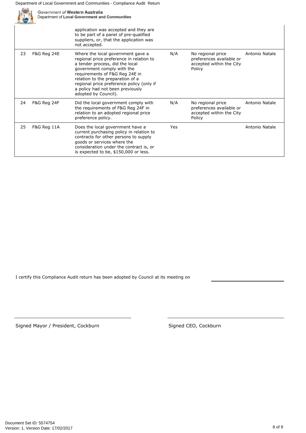|    | Government of Western Australia<br>Department of Local Government and Communities |                                                                                                                                                                                                                                                                                                                               |     |                                                                                     |                |
|----|-----------------------------------------------------------------------------------|-------------------------------------------------------------------------------------------------------------------------------------------------------------------------------------------------------------------------------------------------------------------------------------------------------------------------------|-----|-------------------------------------------------------------------------------------|----------------|
|    |                                                                                   | application was accepted and they are<br>to be part of a panel of pre-qualified<br>suppliers, or, that the application was<br>not accepted.                                                                                                                                                                                   |     |                                                                                     |                |
| 23 | F&G Reg 24E                                                                       | Where the local government gave a<br>regional price preference in relation to<br>a tender process, did the local<br>government comply with the<br>requirements of F&G Reg 24E in<br>relation to the preparation of a<br>regional price preference policy (only if<br>a policy had not been previously<br>adopted by Council). | N/A | No regional price<br>preferences available or<br>accepted within the City<br>Policy | Antonio Natale |
| 24 | <b>F&amp;G Reg 24F</b>                                                            | Did the local government comply with<br>the requirements of F&G Reg 24F in<br>relation to an adopted regional price<br>preference policy.                                                                                                                                                                                     | N/A | No regional price<br>preferences available or<br>accepted within the City<br>Policy | Antonio Natale |
| 25 | F&G Reg 11A                                                                       | Does the local government have a<br>current purchasing policy in relation to<br>contracts for other persons to supply<br>goods or services where the<br>consideration under the contract is, or<br>is expected to be, \$150,000 or less.                                                                                      | Yes |                                                                                     | Antonio Natale |

I certify this Compliance Audit return has been adopted by Council at its meeting on

Signed Mayor / President, Cockburn Signed CEO, Cockburn Signed CEO, Cockburn